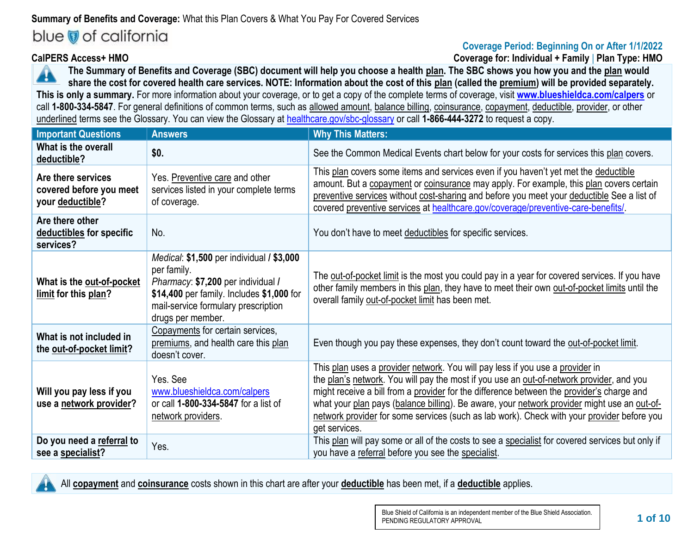# **Summary of Benefits and Coverage:** What this Plan Covers & What You Pay For Covered Services

# blue of california

# **Coverage Period: Beginning On or After 1/1/2022**

**CalPERS Access+ HMO Coverage for: Individual + Family** | **Plan Type: HMO**

**The Summary of Benefits and Coverage (SBC) document will help you choose a health plan. The SBC shows you how you and the plan would**  A **share the cost for covered health care services. NOTE: Information about the cost of this plan (called the premium) will be provided separately. This is only a summary.** For more information about your coverage, or to get a copy of the complete terms of coverage, visit **[www.blueshieldca.com/calpers](https://blueshieldca.com/calpers)** or call **1-800-334-5847**. For general definitions of common terms, such as allowed amount, balance billing, coinsurance, copayment, deductible, provider, or other underlined terms see the Glossary. You can view the Glossary at [healthcare.gov/sbc-glossary](http://www.healthcare.gov/sbc-glossary) or call **1-866-444-3272** to request a copy.

| <b>Important Questions</b>                                        | <b>Answers</b>                                                                                                                                                                                                 | <b>Why This Matters:</b>                                                                                                                                                                                                                                                                                                                                                                                                                                                             |
|-------------------------------------------------------------------|----------------------------------------------------------------------------------------------------------------------------------------------------------------------------------------------------------------|--------------------------------------------------------------------------------------------------------------------------------------------------------------------------------------------------------------------------------------------------------------------------------------------------------------------------------------------------------------------------------------------------------------------------------------------------------------------------------------|
| What is the overall<br>deductible?                                | \$0.                                                                                                                                                                                                           | See the Common Medical Events chart below for your costs for services this plan covers.                                                                                                                                                                                                                                                                                                                                                                                              |
| Are there services<br>covered before you meet<br>your deductible? | Yes. Preventive care and other<br>services listed in your complete terms<br>of coverage.                                                                                                                       | This plan covers some items and services even if you haven't yet met the deductible<br>amount. But a copayment or coinsurance may apply. For example, this plan covers certain<br>preventive services without cost-sharing and before you meet your deductible See a list of<br>covered preventive services at healthcare.gov/coverage/preventive-care-benefits/.                                                                                                                    |
| Are there other<br>deductibles for specific<br>services?          | No.                                                                                                                                                                                                            | You don't have to meet deductibles for specific services.                                                                                                                                                                                                                                                                                                                                                                                                                            |
| What is the out-of-pocket<br>limit for this plan?                 | <i>Medical:</i> \$1,500 per individual / \$3,000<br>per family.<br>Pharmacy: \$7,200 per individual /<br>\$14,400 per family. Includes \$1,000 for<br>mail-service formulary prescription<br>drugs per member. | The out-of-pocket limit is the most you could pay in a year for covered services. If you have<br>other family members in this plan, they have to meet their own out-of-pocket limits until the<br>overall family out-of-pocket limit has been met.                                                                                                                                                                                                                                   |
| What is not included in<br>the out-of-pocket limit?               | Copayments for certain services,<br>premiums, and health care this plan<br>doesn't cover.                                                                                                                      | Even though you pay these expenses, they don't count toward the out-of-pocket limit.                                                                                                                                                                                                                                                                                                                                                                                                 |
| Will you pay less if you<br>use a network provider?               | Yes. See<br>www.blueshieldca.com/calpers<br>or call 1-800-334-5847 for a list of<br>network providers.                                                                                                         | This plan uses a provider network. You will pay less if you use a provider in<br>the plan's network. You will pay the most if you use an out-of-network provider, and you<br>might receive a bill from a provider for the difference between the provider's charge and<br>what your plan pays (balance billing). Be aware, your network provider might use an out-of-<br>network provider for some services (such as lab work). Check with your provider before you<br>get services. |
| Do you need a referral to<br>see a specialist?                    | Yes.                                                                                                                                                                                                           | This plan will pay some or all of the costs to see a specialist for covered services but only if<br>you have a referral before you see the specialist.                                                                                                                                                                                                                                                                                                                               |

All **copayment** and **coinsurance** costs shown in this chart are after your **deductible** has been met, if a **deductible** applies.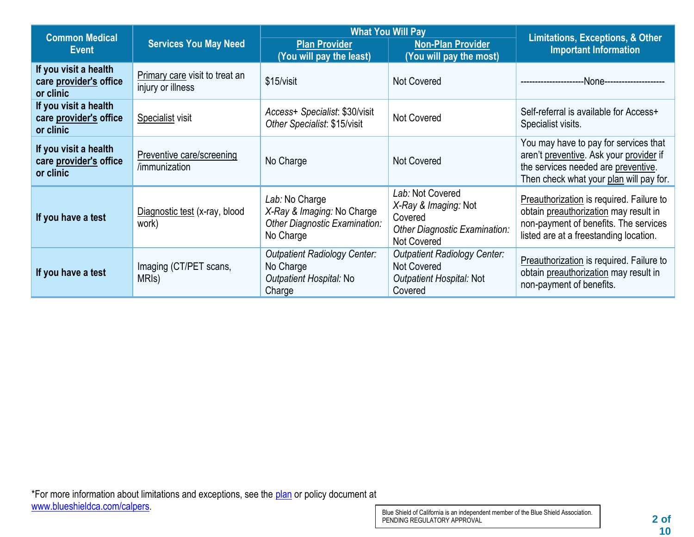| <b>Common Medical</b>                                        |                                                     |                                                                                            | <b>What You Will Pay</b>                                                                                   | <b>Limitations, Exceptions, &amp; Other</b>                                                                                                                          |  |
|--------------------------------------------------------------|-----------------------------------------------------|--------------------------------------------------------------------------------------------|------------------------------------------------------------------------------------------------------------|----------------------------------------------------------------------------------------------------------------------------------------------------------------------|--|
| <b>Event</b>                                                 | <b>Services You May Need</b>                        | <b>Plan Provider</b><br>(You will pay the least)                                           | <b>Non-Plan Provider</b><br>(You will pay the most)                                                        |                                                                                                                                                                      |  |
| If you visit a health<br>care provider's office<br>or clinic | Primary care visit to treat an<br>injury or illness | \$15/visit                                                                                 | <b>Not Covered</b>                                                                                         | -None-----------------                                                                                                                                               |  |
| If you visit a health<br>care provider's office<br>or clinic | Specialist visit                                    | Access+ Specialist: \$30/visit<br>Other Specialist: \$15/visit                             | <b>Not Covered</b>                                                                                         | Self-referral is available for Access+<br>Specialist visits.                                                                                                         |  |
| If you visit a health<br>care provider's office<br>or clinic | Preventive care/screening<br>/immunization          | No Charge                                                                                  | <b>Not Covered</b>                                                                                         | You may have to pay for services that<br>aren't preventive. Ask your provider if<br>the services needed are preventive.<br>Then check what your plan will pay for.   |  |
| If you have a test                                           | Diagnostic test (x-ray, blood<br>work)              | Lab: No Charge<br>X-Ray & Imaging: No Charge<br>Other Diagnostic Examination:<br>No Charge | Lab: Not Covered<br>X-Ray & Imaging: Not<br>Covered<br>Other Diagnostic Examination:<br><b>Not Covered</b> | Preauthorization is required. Failure to<br>obtain preauthorization may result in<br>non-payment of benefits. The services<br>listed are at a freestanding location. |  |
| If you have a test                                           | Imaging (CT/PET scans,<br>MRI <sub>s</sub> )        | <b>Outpatient Radiology Center:</b><br>No Charge<br>Outpatient Hospital: No<br>Charge      | <b>Outpatient Radiology Center:</b><br>Not Covered<br>Outpatient Hospital: Not<br>Covered                  | Preauthorization is required. Failure to<br>obtain preauthorization may result in<br>non-payment of benefits.                                                        |  |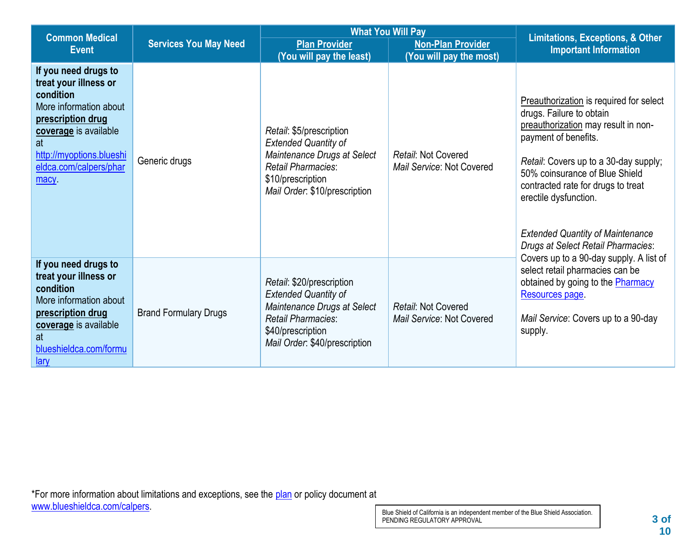| <b>Common Medical</b>                                                                                                                                                                                  |                              | <b>What You Will Pay</b>                                                                                                                                                   |                                                  |                                                                                                                                                                                                                                                                                                                                                               |
|--------------------------------------------------------------------------------------------------------------------------------------------------------------------------------------------------------|------------------------------|----------------------------------------------------------------------------------------------------------------------------------------------------------------------------|--------------------------------------------------|---------------------------------------------------------------------------------------------------------------------------------------------------------------------------------------------------------------------------------------------------------------------------------------------------------------------------------------------------------------|
| <b>Event</b>                                                                                                                                                                                           | <b>Services You May Need</b> | <b>Plan Provider</b><br><b>Non-Plan Provider</b><br>(You will pay the least)<br>(You will pay the most)                                                                    |                                                  | <b>Limitations, Exceptions, &amp; Other</b><br><b>Important Information</b>                                                                                                                                                                                                                                                                                   |
| If you need drugs to<br>treat your illness or<br>condition<br>More information about<br>prescription drug<br>coverage is available<br>at<br>http://myoptions.blueshi<br>eldca.com/calpers/phar<br>macy | Generic drugs                | Retail: \$5/prescription<br><b>Extended Quantity of</b><br>Maintenance Drugs at Select<br>Retail Pharmacies:<br>\$10/prescription<br>Mail Order: \$10/prescription         | Retail: Not Covered<br>Mail Service: Not Covered | Preauthorization is required for select<br>drugs. Failure to obtain<br>preauthorization may result in non-<br>payment of benefits.<br>Retail: Covers up to a 30-day supply;<br>50% coinsurance of Blue Shield<br>contracted rate for drugs to treat<br>erectile dysfunction.<br><b>Extended Quantity of Maintenance</b><br>Drugs at Select Retail Pharmacies: |
| If you need drugs to<br>treat your illness or<br>condition<br>More information about<br>prescription drug<br>coverage is available<br>at<br>blueshieldca.com/formu<br>lary                             | <b>Brand Formulary Drugs</b> | Retail: \$20/prescription<br><b>Extended Quantity of</b><br>Maintenance Drugs at Select<br><b>Retail Pharmacies:</b><br>\$40/prescription<br>Mail Order: \$40/prescription | Retail: Not Covered<br>Mail Service: Not Covered | Covers up to a 90-day supply. A list of<br>select retail pharmacies can be<br>obtained by going to the Pharmacy<br>Resources page.<br>Mail Service: Covers up to a 90-day<br>supply.                                                                                                                                                                          |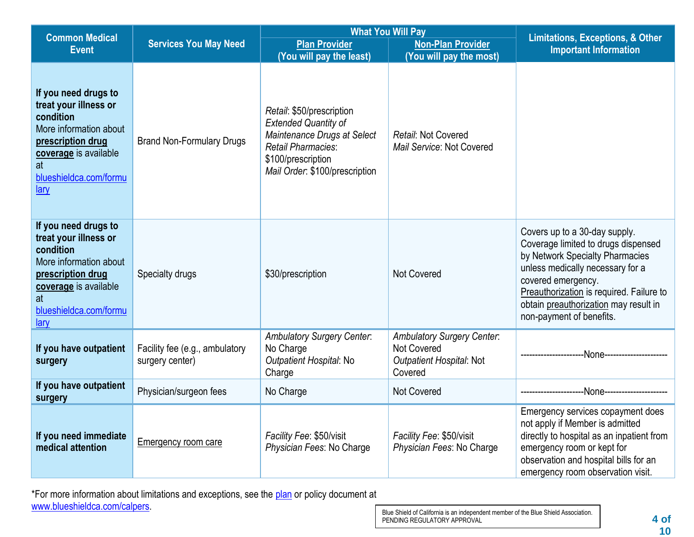| <b>Common Medical</b>                                                                                                                                                      |                                                   |                                                                                                                                                                       | <b>What You Will Pay</b>                                                                       |                                                                                                                                                                                                                                                                                    |  |
|----------------------------------------------------------------------------------------------------------------------------------------------------------------------------|---------------------------------------------------|-----------------------------------------------------------------------------------------------------------------------------------------------------------------------|------------------------------------------------------------------------------------------------|------------------------------------------------------------------------------------------------------------------------------------------------------------------------------------------------------------------------------------------------------------------------------------|--|
| <b>Event</b>                                                                                                                                                               | <b>Services You May Need</b>                      | <b>Plan Provider</b>                                                                                                                                                  | <b>Non-Plan Provider</b>                                                                       | <b>Limitations, Exceptions, &amp; Other</b><br><b>Important Information</b>                                                                                                                                                                                                        |  |
|                                                                                                                                                                            |                                                   | (You will pay the least)                                                                                                                                              | (You will pay the most)                                                                        |                                                                                                                                                                                                                                                                                    |  |
| If you need drugs to<br>treat your illness or<br>condition<br>More information about<br>prescription drug<br>coverage is available<br>at<br>blueshieldca.com/formu<br>lary | <b>Brand Non-Formulary Drugs</b>                  | Retail: \$50/prescription<br><b>Extended Quantity of</b><br>Maintenance Drugs at Select<br>Retail Pharmacies:<br>\$100/prescription<br>Mail Order: \$100/prescription | Retail: Not Covered<br>Mail Service: Not Covered                                               |                                                                                                                                                                                                                                                                                    |  |
| If you need drugs to<br>treat your illness or<br>condition<br>More information about<br>prescription drug<br>coverage is available<br>at<br>blueshieldca.com/formu<br>lary | Specialty drugs                                   | \$30/prescription                                                                                                                                                     | <b>Not Covered</b>                                                                             | Covers up to a 30-day supply.<br>Coverage limited to drugs dispensed<br>by Network Specialty Pharmacies<br>unless medically necessary for a<br>covered emergency.<br>Preauthorization is required. Failure to<br>obtain preauthorization may result in<br>non-payment of benefits. |  |
| If you have outpatient<br>surgery                                                                                                                                          | Facility fee (e.g., ambulatory<br>surgery center) | <b>Ambulatory Surgery Center:</b><br>No Charge<br>Outpatient Hospital: No<br>Charge                                                                                   | <b>Ambulatory Surgery Center:</b><br><b>Not Covered</b><br>Outpatient Hospital: Not<br>Covered |                                                                                                                                                                                                                                                                                    |  |
| If you have outpatient<br>surgery                                                                                                                                          | Physician/surgeon fees                            | No Charge                                                                                                                                                             | <b>Not Covered</b>                                                                             | -None----------------                                                                                                                                                                                                                                                              |  |
| If you need immediate<br>medical attention                                                                                                                                 | <b>Emergency room care</b>                        | Facility Fee: \$50/visit<br>Physician Fees: No Charge                                                                                                                 | Facility Fee: \$50/visit<br>Physician Fees: No Charge                                          | Emergency services copayment does<br>not apply if Member is admitted<br>directly to hospital as an inpatient from<br>emergency room or kept for<br>observation and hospital bills for an<br>emergency room observation visit.                                                      |  |

\*For more information about limitations and exceptions, see the [plan](https://www.healthcare.gov/sbc-glossary/#plan) or policy document at [www.blueshieldca.com/calpers.](https://blueshieldca.com/calpers)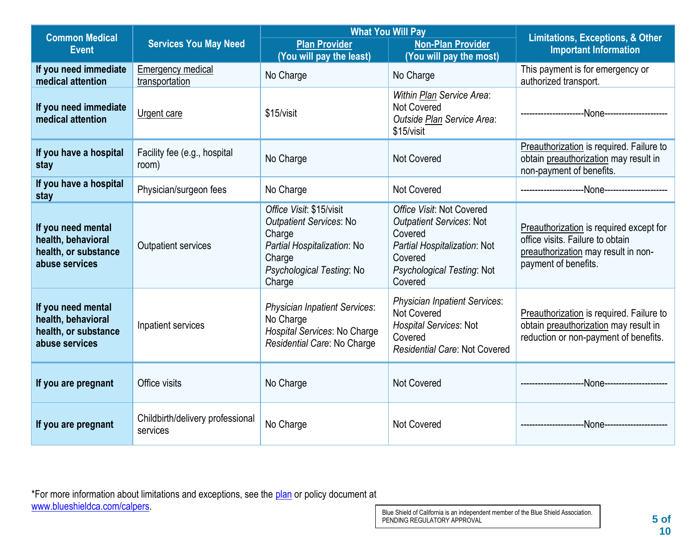| <b>Common Medical</b>                                                              |                                              | <b>What You Will Pay</b>                                                                                                                             | <b>Limitations, Exceptions, &amp; Other</b>                                                                                                                 |                                                                                                                                            |
|------------------------------------------------------------------------------------|----------------------------------------------|------------------------------------------------------------------------------------------------------------------------------------------------------|-------------------------------------------------------------------------------------------------------------------------------------------------------------|--------------------------------------------------------------------------------------------------------------------------------------------|
| <b>Event</b>                                                                       | <b>Services You May Need</b>                 | <b>Plan Provider</b>                                                                                                                                 | <b>Non-Plan Provider</b>                                                                                                                                    | <b>Important Information</b>                                                                                                               |
| If you need immediate<br>medical attention                                         | <b>Emergency medical</b><br>transportation   | (You will pay the least)<br>No Charge                                                                                                                | (You will pay the most)<br>No Charge                                                                                                                        | This payment is for emergency or<br>authorized transport.                                                                                  |
| If you need immediate<br>medical attention                                         | <b>Urgent care</b>                           | \$15/visit                                                                                                                                           | Within Plan Service Area:<br>Not Covered<br>Outside Plan Service Area:<br>\$15/visit                                                                        |                                                                                                                                            |
| If you have a hospital<br>stay                                                     | Facility fee (e.g., hospital<br>room)        | No Charge                                                                                                                                            | <b>Not Covered</b>                                                                                                                                          | Preauthorization is required. Failure to<br>obtain preauthorization may result in<br>non-payment of benefits.                              |
| If you have a hospital<br>stay                                                     | Physician/surgeon fees                       | No Charge                                                                                                                                            | <b>Not Covered</b>                                                                                                                                          |                                                                                                                                            |
| If you need mental<br>health, behavioral<br>health, or substance<br>abuse services | Outpatient services                          | Office Visit: \$15/visit<br><b>Outpatient Services: No</b><br>Charge<br>Partial Hospitalization: No<br>Charge<br>Psychological Testing: No<br>Charge | Office Visit: Not Covered<br><b>Outpatient Services: Not</b><br>Covered<br>Partial Hospitalization: Not<br>Covered<br>Psychological Testing: Not<br>Covered | Preauthorization is required except for<br>office visits. Failure to obtain<br>preauthorization may result in non-<br>payment of benefits. |
| If you need mental<br>health, behavioral<br>health, or substance<br>abuse services | Inpatient services                           | <b>Physician Inpatient Services:</b><br>No Charge<br>Hospital Services: No Charge<br>Residential Care: No Charge                                     | <b>Physician Inpatient Services:</b><br><b>Not Covered</b><br><b>Hospital Services: Not</b><br>Covered<br><b>Residential Care: Not Covered</b>              | Preauthorization is required. Failure to<br>obtain preauthorization may result in<br>reduction or non-payment of benefits.                 |
| If you are pregnant                                                                | Office visits                                | No Charge                                                                                                                                            | <b>Not Covered</b>                                                                                                                                          | --None---------------------<br>-------------------                                                                                         |
| If you are pregnant                                                                | Childbirth/delivery professional<br>services | No Charge                                                                                                                                            | <b>Not Covered</b>                                                                                                                                          | --None--------------------                                                                                                                 |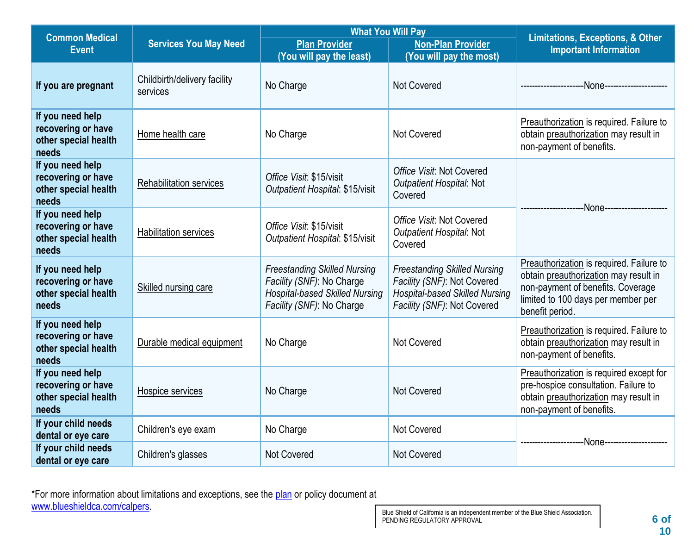| <b>Common Medical</b>                                                   |                                          |                                                                                                                                        | <b>What You Will Pay</b>                                                                                                                   |                                                                                                                                                                                 |  |
|-------------------------------------------------------------------------|------------------------------------------|----------------------------------------------------------------------------------------------------------------------------------------|--------------------------------------------------------------------------------------------------------------------------------------------|---------------------------------------------------------------------------------------------------------------------------------------------------------------------------------|--|
| <b>Event</b>                                                            | <b>Services You May Need</b>             | <b>Plan Provider</b>                                                                                                                   | <b>Non-Plan Provider</b>                                                                                                                   | <b>Limitations, Exceptions, &amp; Other</b><br><b>Important Information</b>                                                                                                     |  |
|                                                                         |                                          | (You will pay the least)                                                                                                               | (You will pay the most)                                                                                                                    |                                                                                                                                                                                 |  |
| If you are pregnant                                                     | Childbirth/delivery facility<br>services | No Charge                                                                                                                              | <b>Not Covered</b>                                                                                                                         | -None-----------------                                                                                                                                                          |  |
| If you need help<br>recovering or have<br>other special health<br>needs | Home health care                         | No Charge                                                                                                                              | <b>Not Covered</b>                                                                                                                         | Preauthorization is required. Failure to<br>obtain preauthorization may result in<br>non-payment of benefits.                                                                   |  |
| If you need help<br>recovering or have<br>other special health<br>needs | <b>Rehabilitation services</b>           | Office Visit: \$15/visit<br>Outpatient Hospital: \$15/visit                                                                            | Office Visit: Not Covered<br>Outpatient Hospital: Not<br>Covered                                                                           | ---None-------------------                                                                                                                                                      |  |
| If you need help<br>recovering or have<br>other special health<br>needs | <b>Habilitation services</b>             | Office Visit: \$15/visit<br>Outpatient Hospital: \$15/visit                                                                            | Office Visit: Not Covered<br>Outpatient Hospital: Not<br>Covered                                                                           |                                                                                                                                                                                 |  |
| If you need help<br>recovering or have<br>other special health<br>needs | Skilled nursing care                     | <b>Freestanding Skilled Nursing</b><br>Facility (SNF): No Charge<br><b>Hospital-based Skilled Nursing</b><br>Facility (SNF): No Charge | <b>Freestanding Skilled Nursing</b><br>Facility (SNF): Not Covered<br><b>Hospital-based Skilled Nursing</b><br>Facility (SNF): Not Covered | Preauthorization is required. Failure to<br>obtain preauthorization may result in<br>non-payment of benefits. Coverage<br>limited to 100 days per member per<br>benefit period. |  |
| If you need help<br>recovering or have<br>other special health<br>needs | Durable medical equipment                | No Charge                                                                                                                              | <b>Not Covered</b>                                                                                                                         | Preauthorization is required. Failure to<br>obtain preauthorization may result in<br>non-payment of benefits.                                                                   |  |
| If you need help<br>recovering or have<br>other special health<br>needs | Hospice services                         | No Charge                                                                                                                              | <b>Not Covered</b>                                                                                                                         | Preauthorization is required except for<br>pre-hospice consultation. Failure to<br>obtain preauthorization may result in<br>non-payment of benefits.                            |  |
| If your child needs<br>dental or eye care                               | Children's eye exam                      | No Charge                                                                                                                              | <b>Not Covered</b>                                                                                                                         |                                                                                                                                                                                 |  |
| If your child needs<br>dental or eye care                               | Children's glasses                       | <b>Not Covered</b>                                                                                                                     | <b>Not Covered</b>                                                                                                                         |                                                                                                                                                                                 |  |

\*For more information about limitations and exceptions, see the [plan](https://www.healthcare.gov/sbc-glossary/#plan) or policy document at [www.blueshieldca.com/calpers.](https://blueshieldca.com/calpers)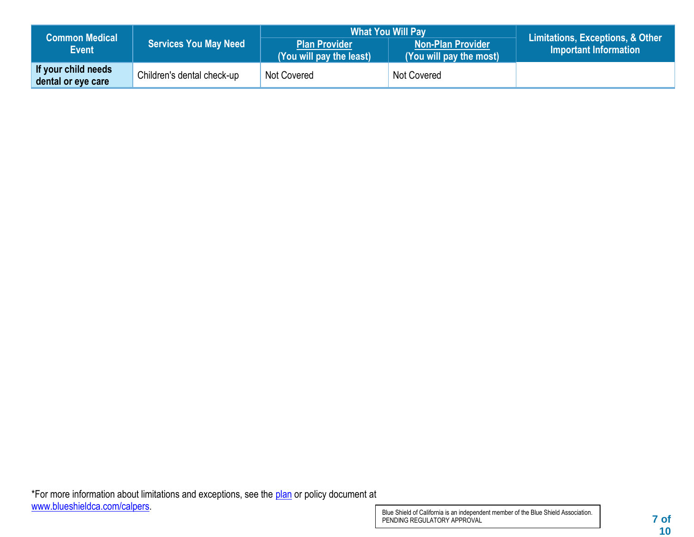| <b>Common Medical</b>                     | <b>Services You May Need</b> | <b>What You Will Pay</b>                         | Limitations, Exceptions, & Other                    |                       |
|-------------------------------------------|------------------------------|--------------------------------------------------|-----------------------------------------------------|-----------------------|
| <b>Event</b>                              |                              | <b>Plan Provider</b><br>(You will pay the least) | <b>Non-Plan Provider</b><br>(You will pay the most) | Important Information |
| If your child needs<br>dental or eye care | Children's dental check-up   | Not Covered                                      | Not Covered                                         |                       |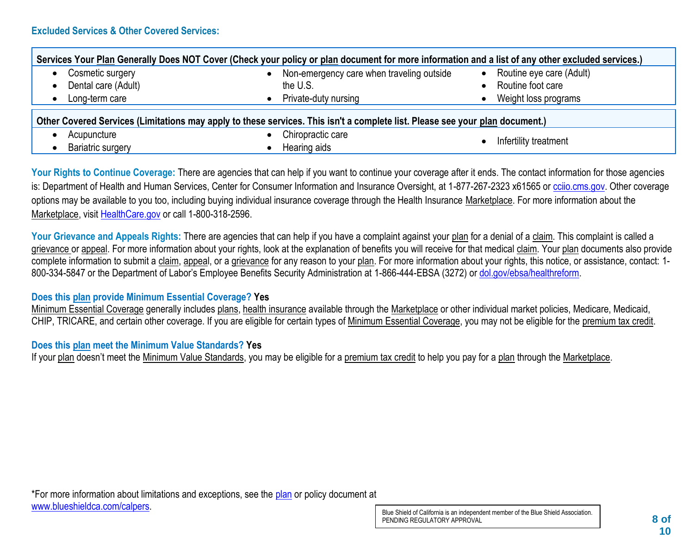| Services Your Plan Generally Does NOT Cover (Check your policy or plan document for more information and a list of any other excluded services.) |                                           |                                       |  |  |  |  |
|--------------------------------------------------------------------------------------------------------------------------------------------------|-------------------------------------------|---------------------------------------|--|--|--|--|
| Cosmetic surgery<br>$\bullet$                                                                                                                    | Non-emergency care when traveling outside | Routine eye care (Adult)<br>$\bullet$ |  |  |  |  |
| Dental care (Adult)<br>$\bullet$                                                                                                                 | the U.S.                                  | Routine foot care                     |  |  |  |  |
| Long-term care<br>$\bullet$                                                                                                                      | Private-duty nursing                      | Weight loss programs                  |  |  |  |  |
| Other Covered Services (Limitations may apply to these services. This isn't a complete list. Please see your plan document.)                     |                                           |                                       |  |  |  |  |
| Acupuncture                                                                                                                                      | Chiropractic care                         |                                       |  |  |  |  |
| <b>Bariatric surgery</b>                                                                                                                         | Hearing aids                              | Infertility treatment                 |  |  |  |  |

Your Rights to Continue Coverage: There are agencies that can help if you want to continue your coverage after it ends. The contact information for those agencies is: Department of Health and Human Services, Center for Consumer Information and Insurance Oversight, at 1-877-267-2323 x61565 or [cciio.cms.gov.](http://www.cciio.cms.gov/) Other coverage options may be available to you too, including buying individual insurance coverage through the Health Insurance Marketplace. For more information about the Marketplace, visit [HealthCare.gov](http://www.healthcare.gov/) or call 1-800-318-2596.

Your Grievance and Appeals Rights: There are agencies that can help if you have a complaint against your plan for a denial of a claim. This complaint is called a grievance or appeal. For more information about your rights, look at the explanation of benefits you will receive for that medical claim. Your plan documents also provide complete information to submit a claim, appeal, or a grievance for any reason to your plan. For more information about your rights, this notice, or assistance, contact: 1- 800-334-5847 or the Department of Labor's Employee Benefits Security Administration at 1-866-444-EBSA (3272) or [dol.gov/ebsa/healthreform.](http://www.dol.gov/ebsa/healthreform)

# **Does this plan provide Minimum Essential Coverage? Yes**

Minimum Essential Coverage generally includes plans, health insurance available through the Marketplace or other individual market policies, Medicare, Medicaid, CHIP, TRICARE, and certain other coverage. If you are eligible for certain types of Minimum Essential Coverage, you may not be eligible for the premium tax credit.

# **Does this plan meet the Minimum Value Standards? Yes**

If your plan doesn't meet the Minimum Value Standards, you may be eligible for a premium tax credit to help you pay for a plan through the Marketplace.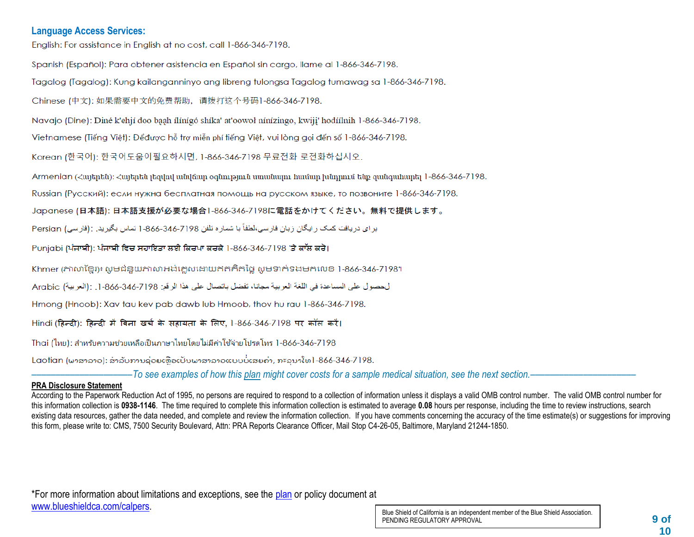#### **Language Access Services:**

English: For assistance in English at no cost, call 1-866-346-7198.

Spanish (Español): Para obtener asistencia en Español sin cargo, llame al 1-866-346-7198.

Tagalog (Tagalog): Kung kailanganninyo ang libreng tulongsa Tagalog tumawag sa 1-866-346-7198.

Chinese (中文): 如果需要中文的免费帮助, 请拨打这个号码1-866-346-7198.

Navajo (Dine): Diné k'ehjí doo baah ílínígó shíka' at'oowoł nínízingo, kwiji' hodíílnih 1-866-346-7198.

Vietnamese (Tiếng Việt): Đểđược hỗ trợ miễn phí tiếng Việt, vui lòng gọi đến số 1-866-346-7198.

Korean (한국어): 한국어도움이필요하시면, 1-866-346-7198 무료전화 로전화하십시오.

Armenian (Հայերեն)։ Հայերեն յեզվով անվճար օգնություն սաանայու համար խնդրում ենք զանգահարել 1-866-346-7198.

Russian (Русский): если нужна бесплатная помощь на русском языке, то позвоните 1-866-346-7198.

Japanese (日本語): 日本語支援が必要な場合1-866-346-7198に電話をかけてください。無料で提供します。

بر ای در یافت کمک ر ایگان ز بان فار سی،لطفاً با شمار ه تلفن 7198-866-846-1 تماس بگیر ید . :(فار سی) Persian

Punjabi (ਪੰਜਾਬੀ): ਪੰਜਾਬੀ ਵਿਚ ਸਹਾਇਤਾ ਲਈ ਕਿਰਪਾ ਕਰਕੇ 1-866-346-7198 'ਤੇ ਕਾੱਲ ਕਰੋ।

Khmer (ភាសាខែរ)៖ សូមជំនួយភាសាអង់គ្លេសដោយឥតគិតថ្លៃ សូមទាក់ទងមកលេខ 1-866-346-7198។

لحصول على المساعدة في اللغة العربية مجانا، تفضل باتصال على هذا الرقم: 7198-346-366. [. :(العربية) Arabic

Hmong (Hnoob): Xav tau kev pab dawb lub Hmoob, thov hu rau 1-866-346-7198.

Hindi (हिन्दी): हिन्दी में बिना खर्च के सहायता के लिए. 1-866-346-7198 पर कॉल करें।

Thai (ไหย): สำหรับความช่วยเหลือเป็นภาษาไหยโดยไม่มีค่าใช้จ่ายโปรดโหร 1-866-346-7198

Laotian (ພາສາລາວ): ສໍາລັບການຊ່ວຍເຫືອເປັນພາສາລາວແບບບໍ່ເສຍຄ່າ, ກະລນາໂທ1-866-346-7198.

–––––––––––––––––––––*To see examples of how this plan might cover costs for a sample medical situation, see the next section.–––––––––––*–––––––––––

#### **PRA Disclosure Statement**

According to the Paperwork Reduction Act of 1995, no persons are required to respond to a collection of information unless it displays a valid OMB control number. The valid OMB control number for this information collection is **0938-1146**. The time required to complete this information collection is estimated to average **0.08** hours per response, including the time to review instructions, search existing data resources, gather the data needed, and complete and review the information collection. If you have comments concerning the accuracy of the time estimate(s) or suggestions for improving this form, please write to: CMS, 7500 Security Boulevard, Attn: PRA Reports Clearance Officer, Mail Stop C4-26-05, Baltimore, Maryland 21244-1850.